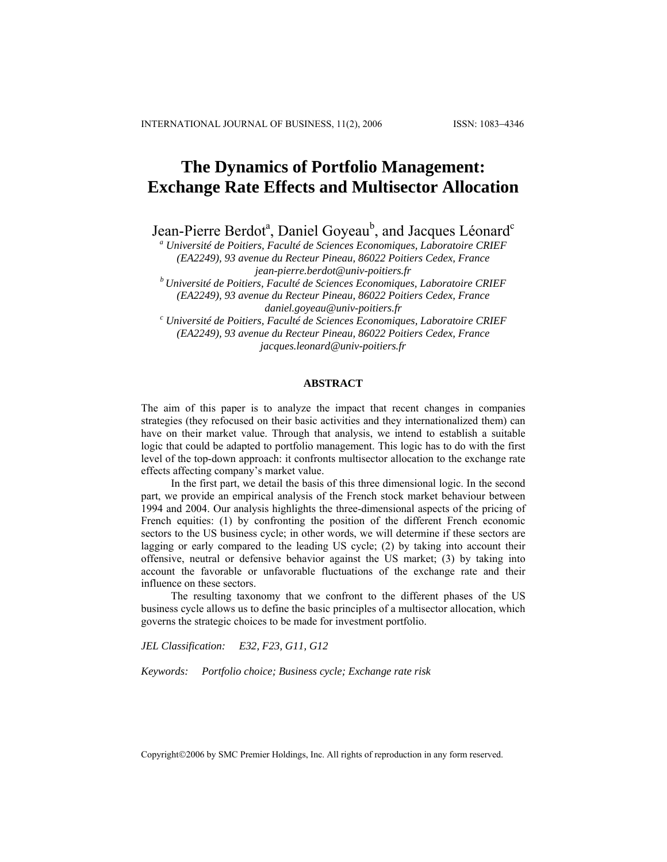# **The Dynamics of Portfolio Management: Exchange Rate Effects and Multisector Allocation**

Jean-Pierre Berdot<sup>a</sup>, Daniel Goyeau<sup>b</sup>, and Jacques Léonard<sup>c</sup>

<sup>a</sup> Université de Poitiers, Faculté de Sciences Economiques, Laboratoire CRIEF *(EA2249), 93 avenue du Recteur Pineau, 86022 Poitiers Cedex, France [jean-pierre.berdot@univ-poitiers.fr](mailto:jean-pierre.berdot@univ-poitiers.fr) b Université de Poitiers, Faculté de Sciences Economiques, Laboratoire CRIEF* 

*(EA2249), 93 avenue du Recteur Pineau, 86022 Poitiers Cedex, France daniel.goyeau@univ-poitiers.fr c Université de Poitiers, Faculté de Sciences Economiques, Laboratoire CRIEF* 

*(EA2249), 93 avenue du Recteur Pineau, 86022 Poitiers Cedex, France [jacques.leonard@univ-poitiers.fr](mailto:jacques.leonard@univ-poitiers.fr)*

# **ABSTRACT**

The aim of this paper is to analyze the impact that recent changes in companies strategies (they refocused on their basic activities and they internationalized them) can have on their market value. Through that analysis, we intend to establish a suitable logic that could be adapted to portfolio management. This logic has to do with the first level of the top-down approach: it confronts multisector allocation to the exchange rate effects affecting company's market value.

In the first part, we detail the basis of this three dimensional logic. In the second part, we provide an empirical analysis of the French stock market behaviour between 1994 and 2004. Our analysis highlights the three-dimensional aspects of the pricing of French equities: (1) by confronting the position of the different French economic sectors to the US business cycle; in other words, we will determine if these sectors are lagging or early compared to the leading US cycle; (2) by taking into account their offensive, neutral or defensive behavior against the US market; (3) by taking into account the favorable or unfavorable fluctuations of the exchange rate and their influence on these sectors.

The resulting taxonomy that we confront to the different phases of the US business cycle allows us to define the basic principles of a multisector allocation, which governs the strategic choices to be made for investment portfolio.

*JEL Classification: E32, F23, G11, G12* 

*Keywords: Portfolio choice; Business cycle; Exchange rate risk* 

Copyright©2006 by SMC Premier Holdings, Inc. All rights of reproduction in any form reserved.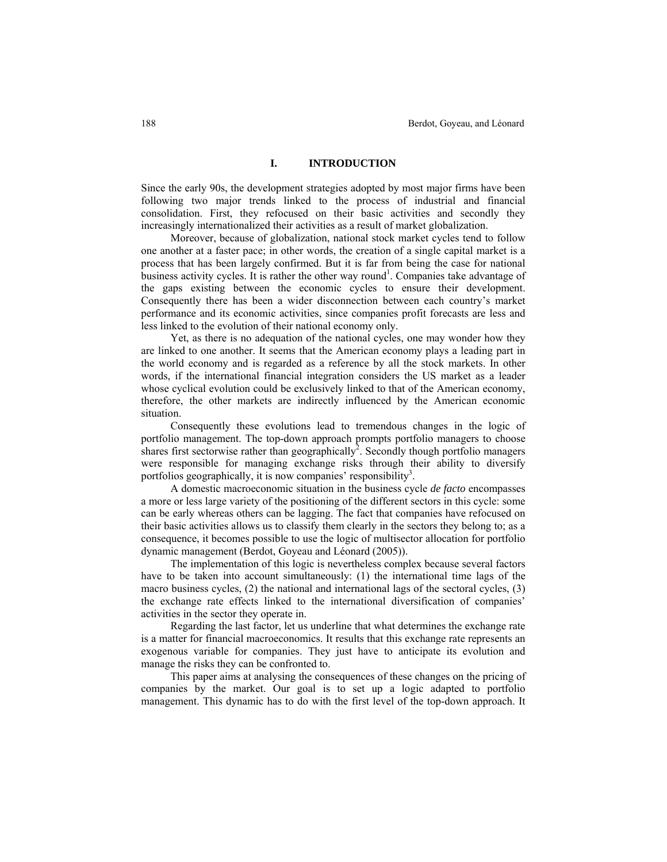## **I. INTRODUCTION**

Since the early 90s, the development strategies adopted by most major firms have been following two major trends linked to the process of industrial and financial consolidation. First, they refocused on their basic activities and secondly they increasingly internationalized their activities as a result of market globalization.

Moreover, because of globalization, national stock market cycles tend to follow one another at a faster pace; in other words, the creation of a single capital market is a process that has been largely confirmed. But it is far from being the case for national business activity cycles. It is rather the other way round<sup>1</sup>. Companies take advantage of the gaps existing between the economic cycles to ensure their development. Consequently there has been a wider disconnection between each country's market performance and its economic activities, since companies profit forecasts are less and less linked to the evolution of their national economy only.

Yet, as there is no adequation of the national cycles, one may wonder how they are linked to one another. It seems that the American economy plays a leading part in the world economy and is regarded as a reference by all the stock markets. In other words, if the international financial integration considers the US market as a leader whose cyclical evolution could be exclusively linked to that of the American economy, therefore, the other markets are indirectly influenced by the American economic situation.

Consequently these evolutions lead to tremendous changes in the logic of portfolio management. The top-down approach prompts portfolio managers to choose shares first sectorwise rather than geographically<sup>2</sup>. Secondly though portfolio managers were responsible for managing exchange risks through their ability to diversify portfolios geographically, it is now companies' responsibility<sup>3</sup>.

A domestic macroeconomic situation in the business cycle *de facto* encompasses a more or less large variety of the positioning of the different sectors in this cycle: some can be early whereas others can be lagging. The fact that companies have refocused on their basic activities allows us to classify them clearly in the sectors they belong to; as a consequence, it becomes possible to use the logic of multisector allocation for portfolio dynamic management (Berdot, Goyeau and Léonard (2005)).

The implementation of this logic is nevertheless complex because several factors have to be taken into account simultaneously: (1) the international time lags of the macro business cycles, (2) the national and international lags of the sectoral cycles, (3) the exchange rate effects linked to the international diversification of companies' activities in the sector they operate in.

Regarding the last factor, let us underline that what determines the exchange rate is a matter for financial macroeconomics. It results that this exchange rate represents an exogenous variable for companies. They just have to anticipate its evolution and manage the risks they can be confronted to.

This paper aims at analysing the consequences of these changes on the pricing of companies by the market. Our goal is to set up a logic adapted to portfolio management. This dynamic has to do with the first level of the top-down approach. It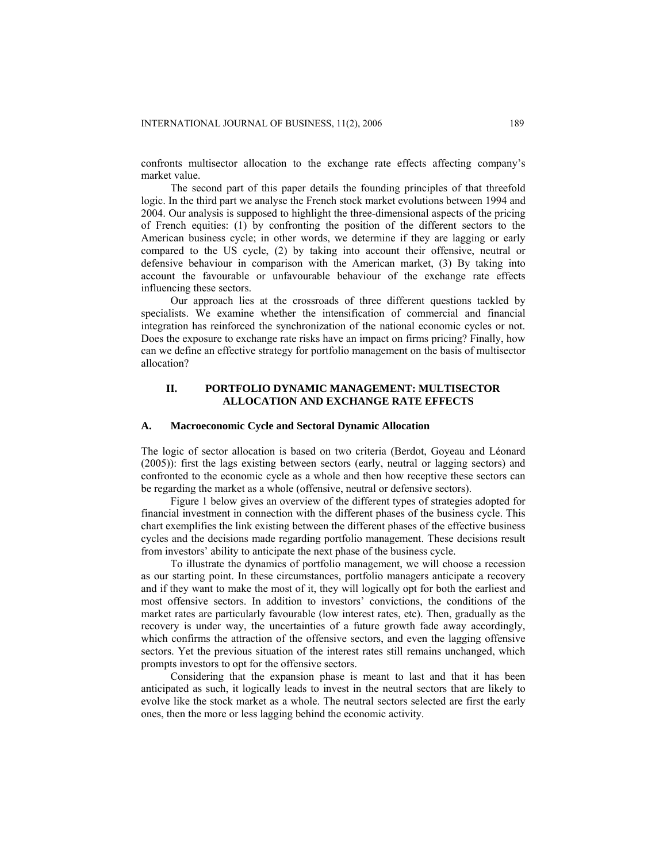confronts multisector allocation to the exchange rate effects affecting company's market value.

The second part of this paper details the founding principles of that threefold logic. In the third part we analyse the French stock market evolutions between 1994 and 2004. Our analysis is supposed to highlight the three-dimensional aspects of the pricing of French equities: (1) by confronting the position of the different sectors to the American business cycle; in other words, we determine if they are lagging or early compared to the US cycle, (2) by taking into account their offensive, neutral or defensive behaviour in comparison with the American market, (3) By taking into account the favourable or unfavourable behaviour of the exchange rate effects influencing these sectors.

Our approach lies at the crossroads of three different questions tackled by specialists. We examine whether the intensification of commercial and financial integration has reinforced the synchronization of the national economic cycles or not. Does the exposure to exchange rate risks have an impact on firms pricing? Finally, how can we define an effective strategy for portfolio management on the basis of multisector allocation?

# **II. PORTFOLIO DYNAMIC MANAGEMENT: MULTISECTOR ALLOCATION AND EXCHANGE RATE EFFECTS**

## **A. Macroeconomic Cycle and Sectoral Dynamic Allocation**

The logic of sector allocation is based on two criteria (Berdot, Goyeau and Léonard (2005)): first the lags existing between sectors (early, neutral or lagging sectors) and confronted to the economic cycle as a whole and then how receptive these sectors can be regarding the market as a whole (offensive, neutral or defensive sectors).

Figure 1 below gives an overview of the different types of strategies adopted for financial investment in connection with the different phases of the business cycle. This chart exemplifies the link existing between the different phases of the effective business cycles and the decisions made regarding portfolio management. These decisions result from investors' ability to anticipate the next phase of the business cycle.

To illustrate the dynamics of portfolio management, we will choose a recession as our starting point. In these circumstances, portfolio managers anticipate a recovery and if they want to make the most of it, they will logically opt for both the earliest and most offensive sectors. In addition to investors' convictions, the conditions of the market rates are particularly favourable (low interest rates, etc). Then, gradually as the recovery is under way, the uncertainties of a future growth fade away accordingly, which confirms the attraction of the offensive sectors, and even the lagging offensive sectors. Yet the previous situation of the interest rates still remains unchanged, which prompts investors to opt for the offensive sectors.

Considering that the expansion phase is meant to last and that it has been anticipated as such, it logically leads to invest in the neutral sectors that are likely to evolve like the stock market as a whole. The neutral sectors selected are first the early ones, then the more or less lagging behind the economic activity.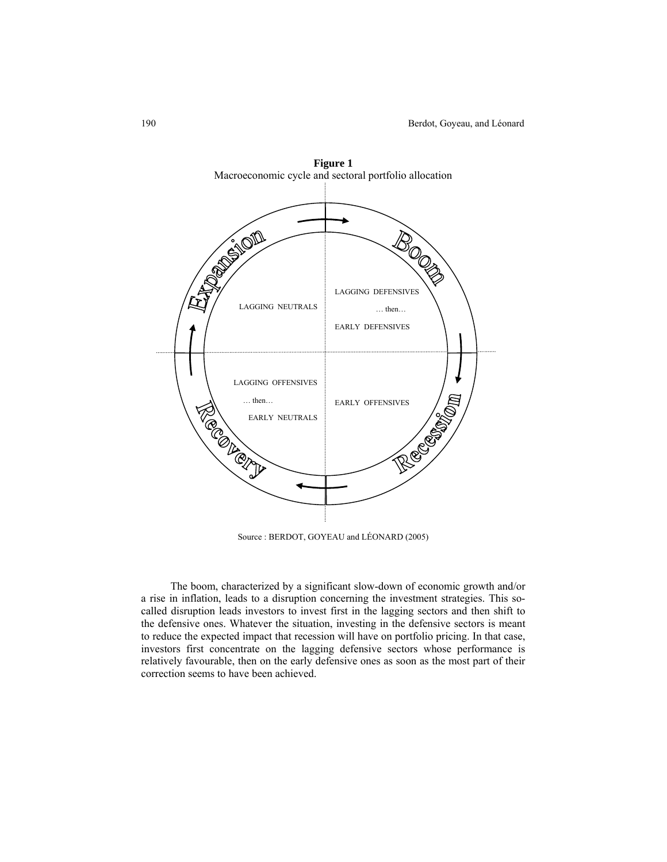

**Figure 1** 

Source : BERDOT, GOYEAU and LÉONARD (2005)

The boom, characterized by a significant slow-down of economic growth and/or a rise in inflation, leads to a disruption concerning the investment strategies. This socalled disruption leads investors to invest first in the lagging sectors and then shift to the defensive ones. Whatever the situation, investing in the defensive sectors is meant to reduce the expected impact that recession will have on portfolio pricing. In that case, investors first concentrate on the lagging defensive sectors whose performance is relatively favourable, then on the early defensive ones as soon as the most part of their correction seems to have been achieved.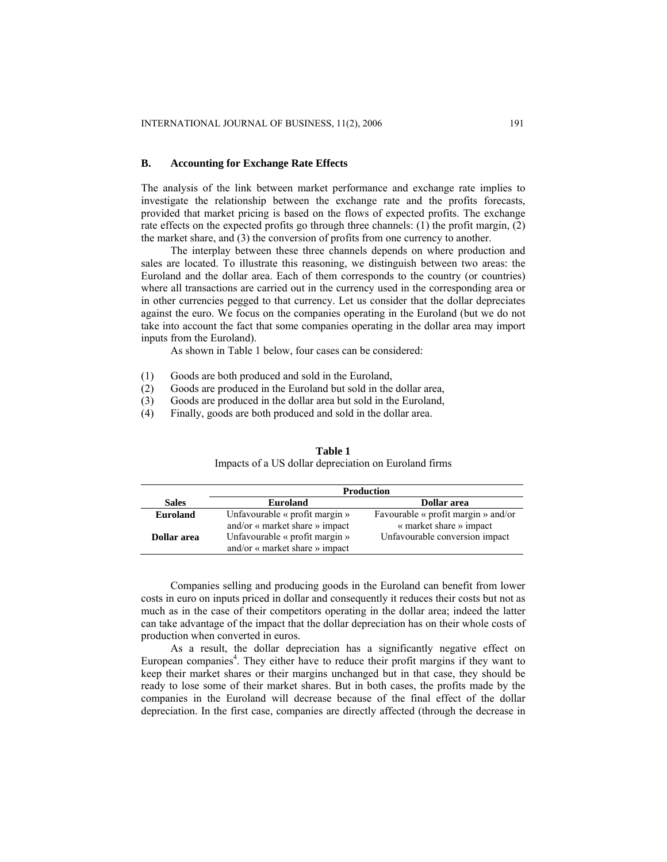## **B. Accounting for Exchange Rate Effects**

The analysis of the link between market performance and exchange rate implies to investigate the relationship between the exchange rate and the profits forecasts, provided that market pricing is based on the flows of expected profits. The exchange rate effects on the expected profits go through three channels: (1) the profit margin, (2) the market share, and (3) the conversion of profits from one currency to another.

The interplay between these three channels depends on where production and sales are located. To illustrate this reasoning, we distinguish between two areas: the Euroland and the dollar area. Each of them corresponds to the country (or countries) where all transactions are carried out in the currency used in the corresponding area or in other currencies pegged to that currency. Let us consider that the dollar depreciates against the euro. We focus on the companies operating in the Euroland (but we do not take into account the fact that some companies operating in the dollar area may import inputs from the Euroland).

As shown in Table 1 below, four cases can be considered:

- (1) Goods are both produced and sold in the Euroland,
- (2) Goods are produced in the Euroland but sold in the dollar area,
- (3) Goods are produced in the dollar area but sold in the Euroland,
- (4) Finally, goods are both produced and sold in the dollar area.

|                    | <b>Production</b>                     |                                     |  |
|--------------------|---------------------------------------|-------------------------------------|--|
| <b>Sales</b>       | <b>Euroland</b>                       | Dollar area                         |  |
| <b>Euroland</b>    | Unfavourable $\kappa$ profit margin » | Favourable « profit margin » and/or |  |
|                    | and/or « market share » impact        | « market share » impact             |  |
| <b>Dollar</b> area | Unfavourable « profit margin »        | Unfavourable conversion impact      |  |
|                    | and/or « market share » impact        |                                     |  |

**Table 1**  Impacts of a US dollar depreciation on Euroland firms

Companies selling and producing goods in the Euroland can benefit from lower costs in euro on inputs priced in dollar and consequently it reduces their costs but not as much as in the case of their competitors operating in the dollar area; indeed the latter can take advantage of the impact that the dollar depreciation has on their whole costs of production when converted in euros.

As a result, the dollar depreciation has a significantly negative effect on European companies<sup>4</sup>. They either have to reduce their profit margins if they want to keep their market shares or their margins unchanged but in that case, they should be ready to lose some of their market shares. But in both cases, the profits made by the companies in the Euroland will decrease because of the final effect of the dollar depreciation. In the first case, companies are directly affected (through the decrease in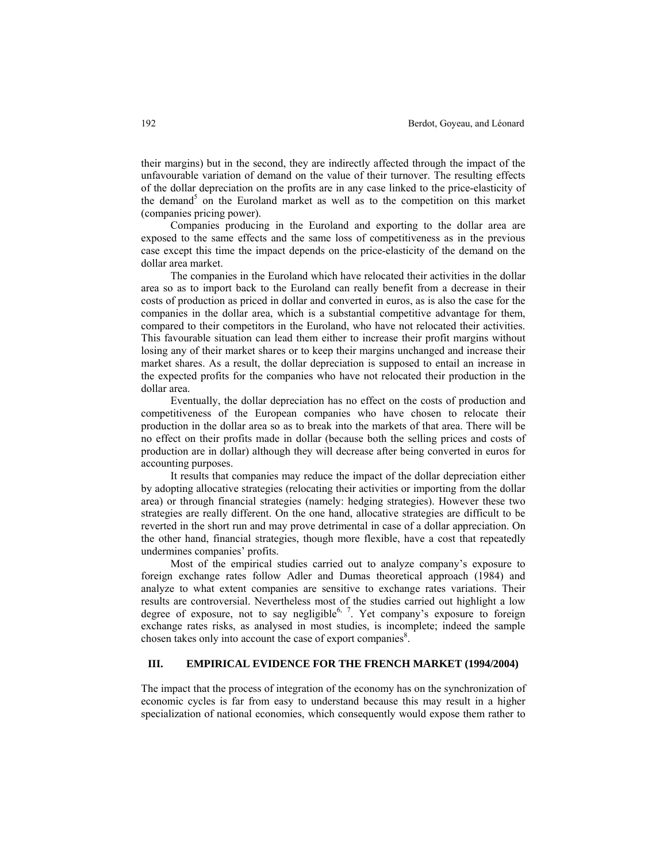their margins) but in the second, they are indirectly affected through the impact of the unfavourable variation of demand on the value of their turnover. The resulting effects of the dollar depreciation on the profits are in any case linked to the price-elasticity of the demand<sup>5</sup> on the Euroland market as well as to the competition on this market (companies pricing power).

Companies producing in the Euroland and exporting to the dollar area are exposed to the same effects and the same loss of competitiveness as in the previous case except this time the impact depends on the price-elasticity of the demand on the dollar area market.

The companies in the Euroland which have relocated their activities in the dollar area so as to import back to the Euroland can really benefit from a decrease in their costs of production as priced in dollar and converted in euros, as is also the case for the companies in the dollar area, which is a substantial competitive advantage for them, compared to their competitors in the Euroland, who have not relocated their activities. This favourable situation can lead them either to increase their profit margins without losing any of their market shares or to keep their margins unchanged and increase their market shares. As a result, the dollar depreciation is supposed to entail an increase in the expected profits for the companies who have not relocated their production in the dollar area.

Eventually, the dollar depreciation has no effect on the costs of production and competitiveness of the European companies who have chosen to relocate their production in the dollar area so as to break into the markets of that area. There will be no effect on their profits made in dollar (because both the selling prices and costs of production are in dollar) although they will decrease after being converted in euros for accounting purposes.

It results that companies may reduce the impact of the dollar depreciation either by adopting allocative strategies (relocating their activities or importing from the dollar area) or through financial strategies (namely: hedging strategies). However these two strategies are really different. On the one hand, allocative strategies are difficult to be reverted in the short run and may prove detrimental in case of a dollar appreciation. On the other hand, financial strategies, though more flexible, have a cost that repeatedly undermines companies' profits.

Most of the empirical studies carried out to analyze company's exposure to foreign exchange rates follow Adler and Dumas theoretical approach (1984) and analyze to what extent companies are sensitive to exchange rates variations. Their results are controversial. Nevertheless most of the studies carried out highlight a low degree of exposure, not to say negligible<sup>6, 7</sup>. Yet company's exposure to foreign exchange rates risks, as analysed in most studies, is incomplete; indeed the sample chosen takes only into account the case of export companies<sup>8</sup>.

# **III. EMPIRICAL EVIDENCE FOR THE FRENCH MARKET (1994/2004)**

The impact that the process of integration of the economy has on the synchronization of economic cycles is far from easy to understand because this may result in a higher specialization of national economies, which consequently would expose them rather to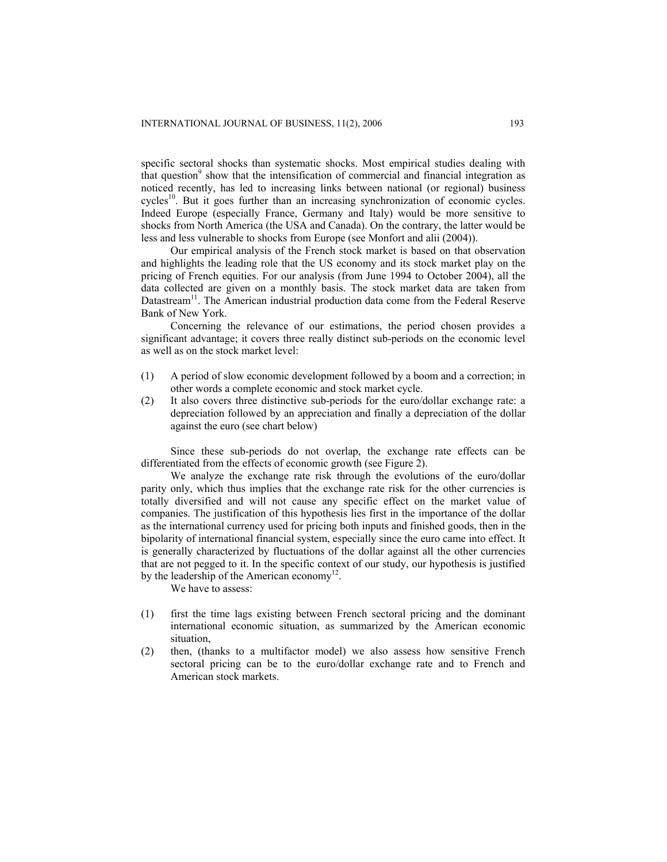specific sectoral shocks than systematic shocks. Most empirical studies dealing with that question<sup>9</sup> show that the intensification of commercial and financial integration as noticed recently, has led to increasing links between national (or regional) business cycles<sup>10</sup>. But it goes further than an increasing synchronization of economic cycles. Indeed Europe (especially France, Germany and Italy) would be more sensitive to shocks from North America (the USA and Canada). On the contrary, the latter would be less and less vulnerable to shocks from Europe (see Monfort and alii (2004)).

Our empirical analysis of the French stock market is based on that observation and highlights the leading role that the US economy and its stock market play on the pricing of French equities. For our analysis (from June 1994 to October 2004), all the data collected are given on a monthly basis. The stock market data are taken from Datastream<sup>11</sup>. The American industrial production data come from the Federal Reserve Bank of New York.

Concerning the relevance of our estimations, the period chosen provides a significant advantage; it covers three really distinct sub-periods on the economic level as well as on the stock market level:

- (1) A period of slow economic development followed by a boom and a correction; in other words a complete economic and stock market cycle.
- (2) It also covers three distinctive sub-periods for the euro/dollar exchange rate: a depreciation followed by an appreciation and finally a depreciation of the dollar against the euro (see chart below)

Since these sub-periods do not overlap, the exchange rate effects can be differentiated from the effects of economic growth (see Figure 2).

We analyze the exchange rate risk through the evolutions of the euro/dollar parity only, which thus implies that the exchange rate risk for the other currencies is totally diversified and will not cause any specific effect on the market value of companies. The justification of this hypothesis lies first in the importance of the dollar as the international currency used for pricing both inputs and finished goods, then in the bipolarity of international financial system, especially since the euro came into effect. It is generally characterized by fluctuations of the dollar against all the other currencies that are not pegged to it. In the specific context of our study, our hypothesis is justified by the leadership of the American economy<sup>12</sup>.

We have to assess:

- (1) first the time lags existing between French sectoral pricing and the dominant international economic situation, as summarized by the American economic situation,
- (2) then, (thanks to a multifactor model) we also assess how sensitive French sectoral pricing can be to the euro/dollar exchange rate and to French and American stock markets.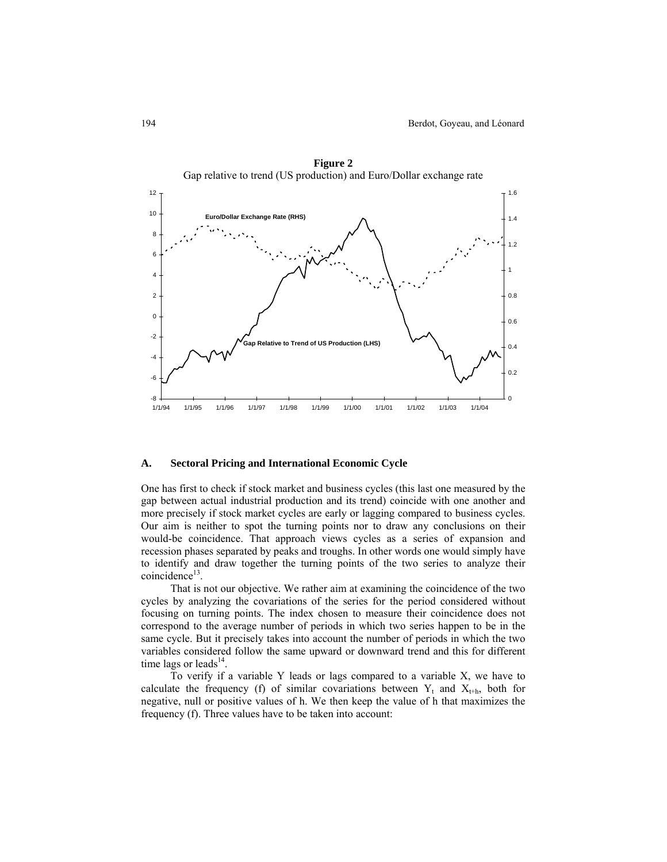

**Figure 2** 

#### **A. Sectoral Pricing and International Economic Cycle**

One has first to check if stock market and business cycles (this last one measured by the gap between actual industrial production and its trend) coincide with one another and more precisely if stock market cycles are early or lagging compared to business cycles. Our aim is neither to spot the turning points nor to draw any conclusions on their would-be coincidence. That approach views cycles as a series of expansion and recession phases separated by peaks and troughs. In other words one would simply have to identify and draw together the turning points of the two series to analyze their coincidence<sup>13</sup>.

That is not our objective. We rather aim at examining the coincidence of the two cycles by analyzing the covariations of the series for the period considered without focusing on turning points. The index chosen to measure their coincidence does not correspond to the average number of periods in which two series happen to be in the same cycle. But it precisely takes into account the number of periods in which the two variables considered follow the same upward or downward trend and this for different time lags or leads $^{14}$ .

To verify if a variable Y leads or lags compared to a variable X, we have to calculate the frequency (f) of similar covariations between  $Y_t$  and  $X_{t+h}$ , both for negative, null or positive values of h. We then keep the value of h that maximizes the frequency (f). Three values have to be taken into account: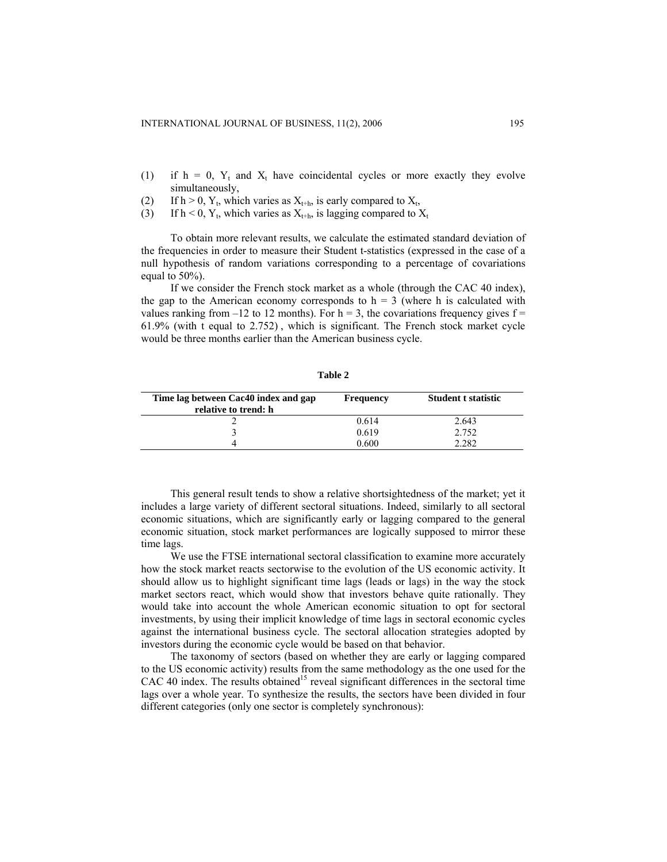- (1) if  $h = 0$ ,  $Y_t$  and  $X_t$  have coincidental cycles or more exactly they evolve simultaneously,
- (2) If h > 0, Y<sub>t</sub>, which varies as  $X_{t+h}$ , is early compared to  $X_t$ ,
- (3) If  $h < 0$ ,  $Y_t$ , which varies as  $X_{t+h}$ , is lagging compared to  $X_t$

To obtain more relevant results, we calculate the estimated standard deviation of the frequencies in order to measure their Student t-statistics (expressed in the case of a null hypothesis of random variations corresponding to a percentage of covariations equal to 50%).

If we consider the French stock market as a whole (through the CAC 40 index), the gap to the American economy corresponds to  $h = 3$  (where h is calculated with values ranking from  $-12$  to 12 months). For h = 3, the covariations frequency gives f = 61.9% (with t equal to 2.752) , which is significant. The French stock market cycle would be three months earlier than the American business cycle.

**Table 2** 

| Time lag between Cac40 index and gap<br>relative to trend: h | <b>Frequency</b> | <b>Student t statistic</b> |
|--------------------------------------------------------------|------------------|----------------------------|
|                                                              | 0.614            | 2.643                      |
|                                                              | 0.619            | 2.752                      |
|                                                              | 0.600            | 2282                       |

This general result tends to show a relative shortsightedness of the market; yet it includes a large variety of different sectoral situations. Indeed, similarly to all sectoral economic situations, which are significantly early or lagging compared to the general economic situation, stock market performances are logically supposed to mirror these time lags.

We use the FTSE international sectoral classification to examine more accurately how the stock market reacts sectorwise to the evolution of the US economic activity. It should allow us to highlight significant time lags (leads or lags) in the way the stock market sectors react, which would show that investors behave quite rationally. They would take into account the whole American economic situation to opt for sectoral investments, by using their implicit knowledge of time lags in sectoral economic cycles against the international business cycle. The sectoral allocation strategies adopted by investors during the economic cycle would be based on that behavior.

The taxonomy of sectors (based on whether they are early or lagging compared to the US economic activity) results from the same methodology as the one used for the CAC 40 index. The results obtained<sup>15</sup> reveal significant differences in the sectoral time lags over a whole year. To synthesize the results, the sectors have been divided in four different categories (only one sector is completely synchronous):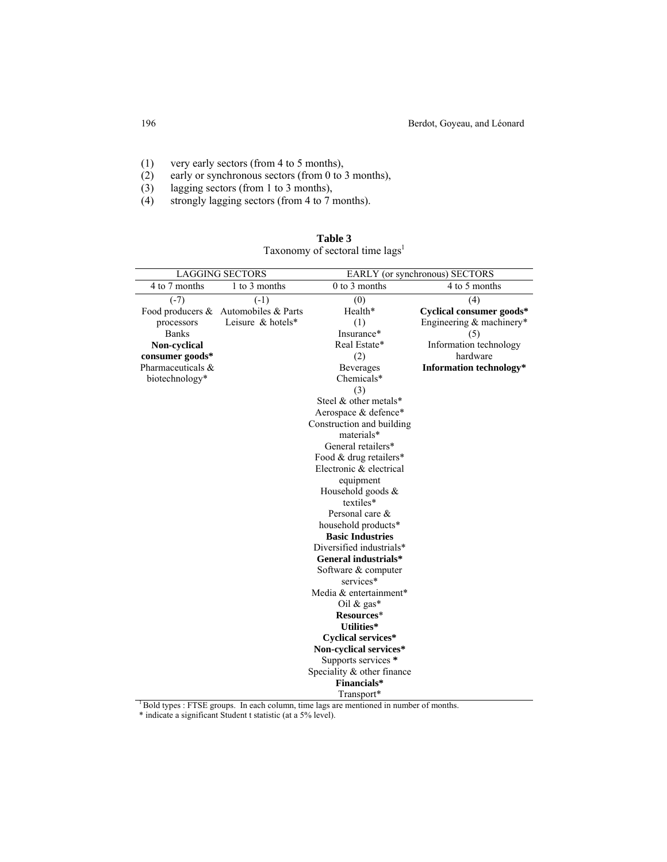- (1) very early sectors (from 4 to 5 months),
- (2) early or synchronous sectors (from 0 to 3 months),
- (3) lagging sectors (from 1 to 3 months),<br>(4) strongly lagging sectors (from 4 to 7 i
- strongly lagging sectors (from 4 to 7 months).

| <b>LAGGING SECTORS</b>         |                                      |                            | EARLY (or synchronous) SECTORS |
|--------------------------------|--------------------------------------|----------------------------|--------------------------------|
| 4 to 7 months<br>1 to 3 months |                                      | $0$ to $3$ months          | 4 to 5 months                  |
|                                |                                      |                            |                                |
| $(-7)$                         | $(-1)$                               | (0)                        | (4)                            |
|                                | Food producers & Automobiles & Parts | Health*                    | Cyclical consumer goods*       |
| processors                     | Leisure $&$ hotels*                  | (1)                        | Engineering & machinery*       |
| <b>Banks</b>                   |                                      | Insurance*                 | (5)                            |
| Non-cyclical                   |                                      | Real Estate*               | Information technology         |
| consumer goods*                |                                      | (2)                        | hardware                       |
| Pharmaceuticals &              |                                      | Beverages                  | Information technology*        |
| biotechnology*                 |                                      | Chemicals*                 |                                |
|                                |                                      | (3)                        |                                |
|                                |                                      | Steel & other metals*      |                                |
|                                |                                      | Aerospace & defence*       |                                |
|                                |                                      | Construction and building  |                                |
|                                |                                      | materials*                 |                                |
|                                |                                      | General retailers*         |                                |
|                                |                                      | Food & drug retailers*     |                                |
|                                |                                      | Electronic & electrical    |                                |
|                                |                                      | equipment                  |                                |
|                                |                                      | Household goods &          |                                |
|                                |                                      | textiles*                  |                                |
|                                |                                      | Personal care &            |                                |
|                                |                                      | household products*        |                                |
|                                |                                      | <b>Basic Industries</b>    |                                |
|                                |                                      | Diversified industrials*   |                                |
|                                |                                      | General industrials*       |                                |
|                                |                                      | Software & computer        |                                |
|                                |                                      | services*                  |                                |
|                                |                                      | Media & entertainment*     |                                |
|                                |                                      | Oil & gas*                 |                                |
|                                |                                      | Resources*                 |                                |
|                                |                                      | <b>Utilities*</b>          |                                |
|                                |                                      | <b>Cyclical services*</b>  |                                |
|                                |                                      | Non-cyclical services*     |                                |
|                                |                                      | Supports services *        |                                |
|                                |                                      | Speciality & other finance |                                |
|                                |                                      | Financials*                |                                |
|                                |                                      | Transport*                 |                                |

| Table 3                                     |  |
|---------------------------------------------|--|
| Taxonomy of sectoral time lags <sup>1</sup> |  |

<sup>1</sup> Bold types : FTSE groups. In each column, time lags are mentioned in number of months.

\* indicate a significant Student t statistic (at a 5% level).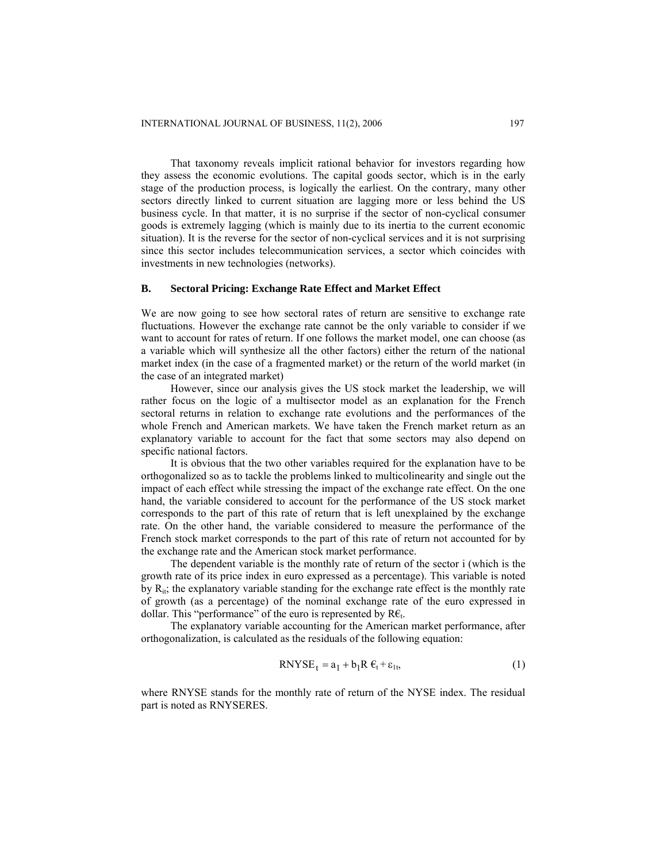That taxonomy reveals implicit rational behavior for investors regarding how they assess the economic evolutions. The capital goods sector, which is in the early stage of the production process, is logically the earliest. On the contrary, many other sectors directly linked to current situation are lagging more or less behind the US business cycle. In that matter, it is no surprise if the sector of non-cyclical consumer goods is extremely lagging (which is mainly due to its inertia to the current economic situation). It is the reverse for the sector of non-cyclical services and it is not surprising since this sector includes telecommunication services, a sector which coincides with investments in new technologies (networks).

## **B. Sectoral Pricing: Exchange Rate Effect and Market Effect**

We are now going to see how sectoral rates of return are sensitive to exchange rate fluctuations. However the exchange rate cannot be the only variable to consider if we want to account for rates of return. If one follows the market model, one can choose (as a variable which will synthesize all the other factors) either the return of the national market index (in the case of a fragmented market) or the return of the world market (in the case of an integrated market)

However, since our analysis gives the US stock market the leadership, we will rather focus on the logic of a multisector model as an explanation for the French sectoral returns in relation to exchange rate evolutions and the performances of the whole French and American markets. We have taken the French market return as an explanatory variable to account for the fact that some sectors may also depend on specific national factors.

It is obvious that the two other variables required for the explanation have to be orthogonalized so as to tackle the problems linked to multicolinearity and single out the impact of each effect while stressing the impact of the exchange rate effect. On the one hand, the variable considered to account for the performance of the US stock market corresponds to the part of this rate of return that is left unexplained by the exchange rate. On the other hand, the variable considered to measure the performance of the French stock market corresponds to the part of this rate of return not accounted for by the exchange rate and the American stock market performance.

The dependent variable is the monthly rate of return of the sector i (which is the growth rate of its price index in euro expressed as a percentage). This variable is noted by  $R_{it}$ ; the explanatory variable standing for the exchange rate effect is the monthly rate of growth (as a percentage) of the nominal exchange rate of the euro expressed in dollar. This "performance" of the euro is represented by  $\mathsf{R}\mathsf{\epsilon}_t$ .

The explanatory variable accounting for the American market performance, after orthogonalization, is calculated as the residuals of the following equation:

$$
RNYSE_t = a_1 + b_1 R \varepsilon_t + \varepsilon_{1t},
$$
\n(1)

where RNYSE stands for the monthly rate of return of the NYSE index. The residual part is noted as RNYSERES.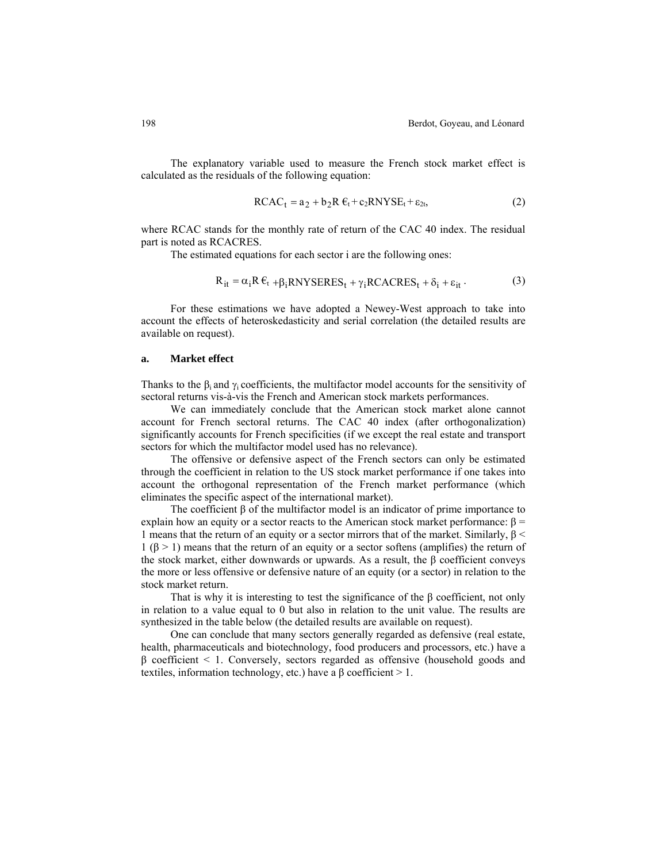The explanatory variable used to measure the French stock market effect is calculated as the residuals of the following equation:

RCACt = a2 + b2R €t + c2RNYSEt + ε2t, (2)

where RCAC stands for the monthly rate of return of the CAC 40 index. The residual part is noted as RCACRES.

The estimated equations for each sector i are the following ones:

$$
R_{it} = \alpha_i R \epsilon_t + \beta_i RNYSERES_t + \gamma_i RCACRES_t + \delta_i + \epsilon_{it}.
$$
 (3)

For these estimations we have adopted a Newey-West approach to take into account the effects of heteroskedasticity and serial correlation (the detailed results are available on request).

#### **a. Market effect**

Thanks to the  $\beta_i$  and  $\gamma_i$  coefficients, the multifactor model accounts for the sensitivity of sectoral returns vis-à-vis the French and American stock markets performances.

We can immediately conclude that the American stock market alone cannot account for French sectoral returns. The CAC 40 index (after orthogonalization) significantly accounts for French specificities (if we except the real estate and transport sectors for which the multifactor model used has no relevance).

The offensive or defensive aspect of the French sectors can only be estimated through the coefficient in relation to the US stock market performance if one takes into account the orthogonal representation of the French market performance (which eliminates the specific aspect of the international market).

The coefficient β of the multifactor model is an indicator of prime importance to explain how an equity or a sector reacts to the American stock market performance:  $β =$ 1 means that the return of an equity or a sector mirrors that of the market. Similarly,  $\beta$  < 1 (β > 1) means that the return of an equity or a sector softens (amplifies) the return of the stock market, either downwards or upwards. As a result, the  $\beta$  coefficient conveys the more or less offensive or defensive nature of an equity (or a sector) in relation to the stock market return.

That is why it is interesting to test the significance of the  $\beta$  coefficient, not only in relation to a value equal to 0 but also in relation to the unit value. The results are synthesized in the table below (the detailed results are available on request).

One can conclude that many sectors generally regarded as defensive (real estate, health, pharmaceuticals and biotechnology, food producers and processors, etc.) have a  $β$  coefficient < 1. Conversely, sectors regarded as offensive (household goods and textiles, information technology, etc.) have a β coefficient  $> 1$ .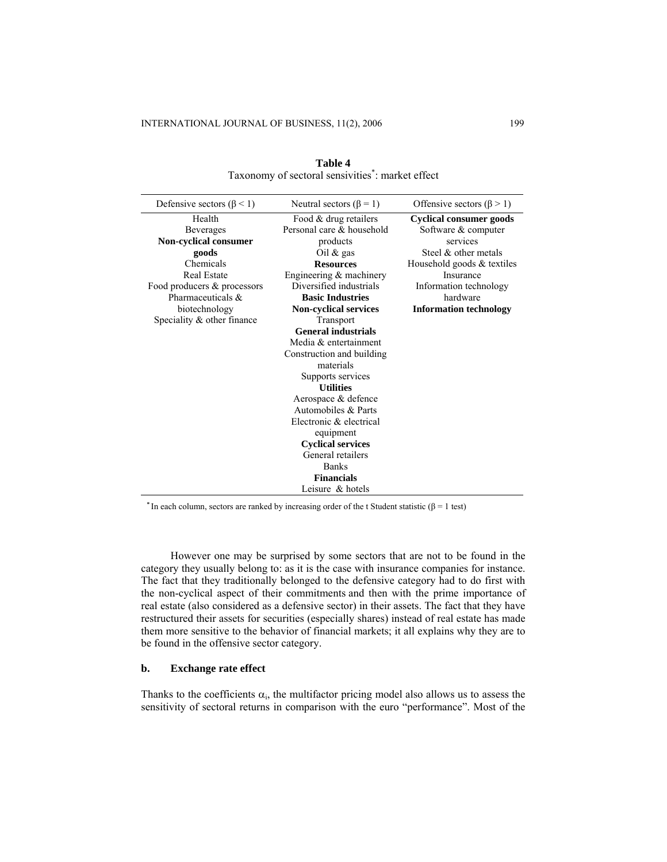| Defensive sectors ( $\beta$ < 1) | Neutral sectors ( $\beta$ = 1) | Offensive sectors ( $\beta$ > 1) |
|----------------------------------|--------------------------------|----------------------------------|
| Health                           | Food & drug retailers          | <b>Cyclical consumer goods</b>   |
| <b>Beverages</b>                 | Personal care & household      | Software & computer              |
| Non-cyclical consumer            | products                       | services                         |
| goods                            | Oil $&$ gas                    | Steel $\&$ other metals          |
| Chemicals                        | <b>Resources</b>               | Household goods & textiles       |
| <b>Real Estate</b>               | Engineering & machinery        | Insurance                        |
| Food producers & processors      | Diversified industrials        | Information technology           |
| Pharmaceuticals &                | <b>Basic Industries</b>        | hardware                         |
| biotechnology                    | <b>Non-cyclical services</b>   | <b>Information technology</b>    |
| Speciality $&$ other finance     | Transport                      |                                  |
|                                  | <b>General industrials</b>     |                                  |
|                                  | Media & entertainment          |                                  |
|                                  | Construction and building      |                                  |
|                                  | materials                      |                                  |
|                                  | Supports services              |                                  |
|                                  | <b>Utilities</b>               |                                  |
|                                  | Aerospace & defence            |                                  |
|                                  | Automobiles & Parts            |                                  |
|                                  | Electronic & electrical        |                                  |
|                                  | equipment                      |                                  |
|                                  | <b>Cyclical services</b>       |                                  |
|                                  | General retailers              |                                  |
|                                  | <b>Banks</b>                   |                                  |
|                                  | <b>Financials</b>              |                                  |
|                                  | Leisure & hotels               |                                  |

**Table 4**  Taxonomy of sectoral sensivities\* : market effect

<sup>\*</sup> In each column, sectors are ranked by increasing order of the t Student statistic ( $\beta$  = 1 test)

However one may be surprised by some sectors that are not to be found in the category they usually belong to: as it is the case with insurance companies for instance. The fact that they traditionally belonged to the defensive category had to do first with the non-cyclical aspect of their commitments and then with the prime importance of real estate (also considered as a defensive sector) in their assets. The fact that they have restructured their assets for securities (especially shares) instead of real estate has made them more sensitive to the behavior of financial markets; it all explains why they are to be found in the offensive sector category.

## **b. Exchange rate effect**

Thanks to the coefficients  $\alpha_i$ , the multifactor pricing model also allows us to assess the sensitivity of sectoral returns in comparison with the euro "performance". Most of the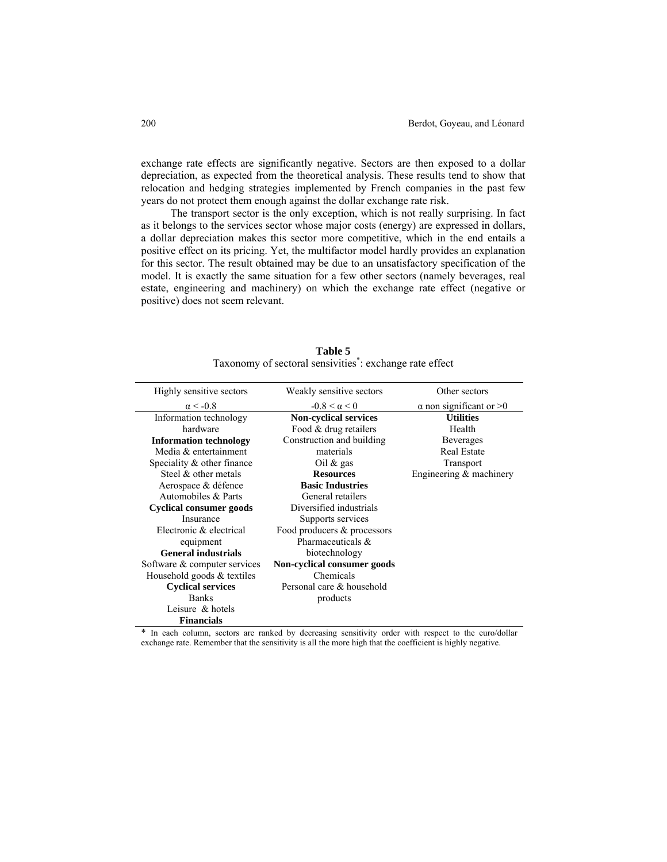exchange rate effects are significantly negative. Sectors are then exposed to a dollar depreciation, as expected from the theoretical analysis. These results tend to show that relocation and hedging strategies implemented by French companies in the past few years do not protect them enough against the dollar exchange rate risk.

The transport sector is the only exception, which is not really surprising. In fact as it belongs to the services sector whose major costs (energy) are expressed in dollars, a dollar depreciation makes this sector more competitive, which in the end entails a positive effect on its pricing. Yet, the multifactor model hardly provides an explanation for this sector. The result obtained may be due to an unsatisfactory specification of the model. It is exactly the same situation for a few other sectors (namely beverages, real estate, engineering and machinery) on which the exchange rate effect (negative or positive) does not seem relevant.

| Highly sensitive sectors       | Weakly sensitive sectors     | Other sectors                    |
|--------------------------------|------------------------------|----------------------------------|
| $\alpha$ < -0.8                | $-0.8 < \alpha < 0$          | $\alpha$ non significant or $>0$ |
| Information technology         | <b>Non-cyclical services</b> | <b>Utilities</b>                 |
| hardware                       | Food & drug retailers        | Health                           |
| <b>Information technology</b>  | Construction and building    | <b>Beverages</b>                 |
| Media & entertainment          | materials                    | <b>Real Estate</b>               |
| Speciality $\&$ other finance  | Oil $\&$ gas                 | Transport                        |
| Steel $\&$ other metals        | <b>Resources</b>             | Engineering $&$ machinery        |
| Aerospace & défence            | <b>Basic Industries</b>      |                                  |
| Automobiles & Parts            | General retailers            |                                  |
| <b>Cyclical consumer goods</b> | Diversified industrials      |                                  |
| Insurance                      | Supports services            |                                  |
| Electronic & electrical        | Food producers & processors  |                                  |
| equipment                      | Pharmaceuticals $\&$         |                                  |
| <b>General industrials</b>     | biotechnology                |                                  |
| Software & computer services   | Non-cyclical consumer goods  |                                  |
| Household goods $&$ textiles   | Chemicals                    |                                  |
| <b>Cyclical services</b>       | Personal care & household    |                                  |
| <b>Banks</b>                   | products                     |                                  |
| Leisure $\&$ hotels            |                              |                                  |
| <b>Financials</b>              |                              |                                  |

**Table 5**  Taxonomy of sectoral sensivities\* : exchange rate effect

\* In each column, sectors are ranked by decreasing sensitivity order with respect to the euro/dollar exchange rate. Remember that the sensitivity is all the more high that the coefficient is highly negative.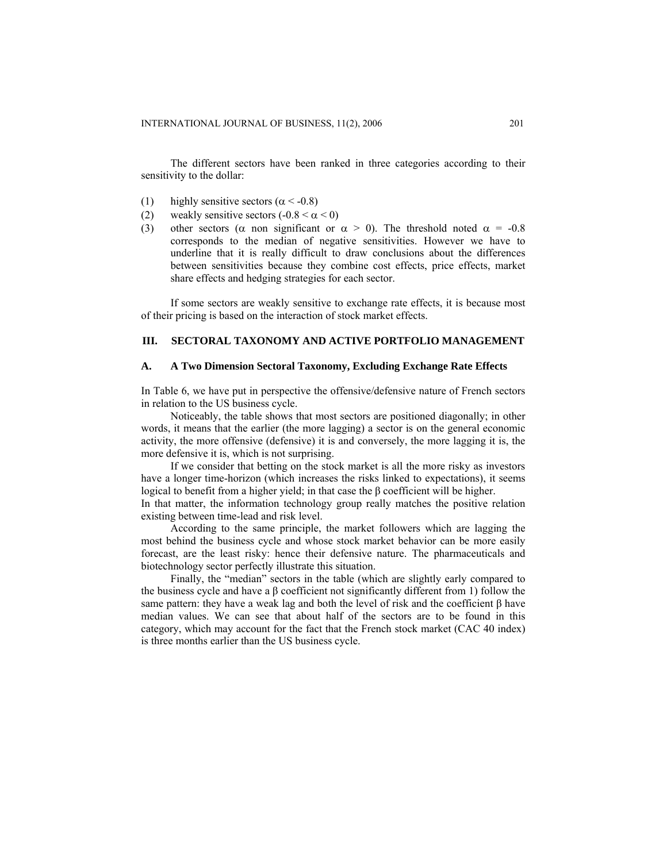The different sectors have been ranked in three categories according to their sensitivity to the dollar:

- (1) highly sensitive sectors ( $\alpha$  < -0.8)
- (2) weakly sensitive sectors  $(-0.8 < \alpha < 0)$
- (3) other sectors ( $\alpha$  non significant or  $\alpha > 0$ ). The threshold noted  $\alpha = -0.8$ corresponds to the median of negative sensitivities. However we have to underline that it is really difficult to draw conclusions about the differences between sensitivities because they combine cost effects, price effects, market share effects and hedging strategies for each sector.

If some sectors are weakly sensitive to exchange rate effects, it is because most of their pricing is based on the interaction of stock market effects.

# **III. SECTORAL TAXONOMY AND ACTIVE PORTFOLIO MANAGEMENT**

# **A. A Two Dimension Sectoral Taxonomy, Excluding Exchange Rate Effects**

In Table 6, we have put in perspective the offensive/defensive nature of French sectors in relation to the US business cycle.

Noticeably, the table shows that most sectors are positioned diagonally; in other words, it means that the earlier (the more lagging) a sector is on the general economic activity, the more offensive (defensive) it is and conversely, the more lagging it is, the more defensive it is, which is not surprising.

If we consider that betting on the stock market is all the more risky as investors have a longer time-horizon (which increases the risks linked to expectations), it seems logical to benefit from a higher yield; in that case the β coefficient will be higher.

In that matter, the information technology group really matches the positive relation existing between time-lead and risk level.

According to the same principle, the market followers which are lagging the most behind the business cycle and whose stock market behavior can be more easily forecast, are the least risky: hence their defensive nature. The pharmaceuticals and biotechnology sector perfectly illustrate this situation.

Finally, the "median" sectors in the table (which are slightly early compared to the business cycle and have a  $\beta$  coefficient not significantly different from 1) follow the same pattern: they have a weak lag and both the level of risk and the coefficient  $\beta$  have median values. We can see that about half of the sectors are to be found in this category, which may account for the fact that the French stock market (CAC 40 index) is three months earlier than the US business cycle.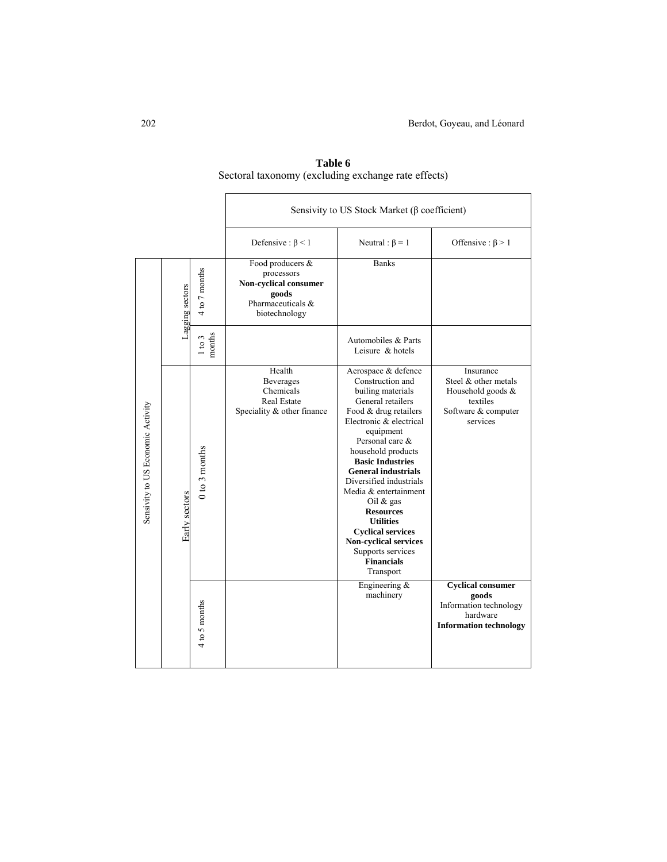|                                   |                 |                   | Sensivity to US Stock Market ( $\beta$ coefficient)                                                    |                                                                                                                                                                                                                                                                                                                                                                                                                                                                                     |                                                                                                          |
|-----------------------------------|-----------------|-------------------|--------------------------------------------------------------------------------------------------------|-------------------------------------------------------------------------------------------------------------------------------------------------------------------------------------------------------------------------------------------------------------------------------------------------------------------------------------------------------------------------------------------------------------------------------------------------------------------------------------|----------------------------------------------------------------------------------------------------------|
|                                   |                 |                   | Defensive : $\beta$ < 1                                                                                | Neutral : $\beta = 1$                                                                                                                                                                                                                                                                                                                                                                                                                                                               | Offensive : $\beta$ > 1                                                                                  |
|                                   | Lagging sectors | 4 to 7 months     | Food producers &<br>processors<br>Non-cyclical consumer<br>goods<br>Pharmaceuticals &<br>biotechnology | <b>Banks</b>                                                                                                                                                                                                                                                                                                                                                                                                                                                                        |                                                                                                          |
|                                   |                 | months<br>1 to 3  |                                                                                                        | Automobiles & Parts<br>Leisure & hotels                                                                                                                                                                                                                                                                                                                                                                                                                                             |                                                                                                          |
| Sensivity to US Economic Activity | Early sectors   | $0$ to $3$ months | Health<br>Beverages<br>Chemicals<br><b>Real Estate</b><br>Speciality & other finance                   | Aerospace & defence<br>Construction and<br>builing materials<br>General retailers<br>Food & drug retailers<br>Electronic & electrical<br>equipment<br>Personal care &<br>household products<br><b>Basic Industries</b><br><b>General industrials</b><br>Diversified industrials<br>Media & entertainment<br>Oil $\&$ gas<br><b>Resources</b><br><b>Utilities</b><br><b>Cyclical services</b><br><b>Non-cyclical services</b><br>Supports services<br><b>Financials</b><br>Transport | Insurance<br>Steel & other metals<br>Household goods &<br>textiles<br>Software & computer<br>services    |
|                                   |                 | 4 to 5 months     |                                                                                                        | Engineering &<br>machinery                                                                                                                                                                                                                                                                                                                                                                                                                                                          | <b>Cyclical consumer</b><br>goods<br>Information technology<br>hardware<br><b>Information technology</b> |

**Table 6**  Sectoral taxonomy (excluding exchange rate effects)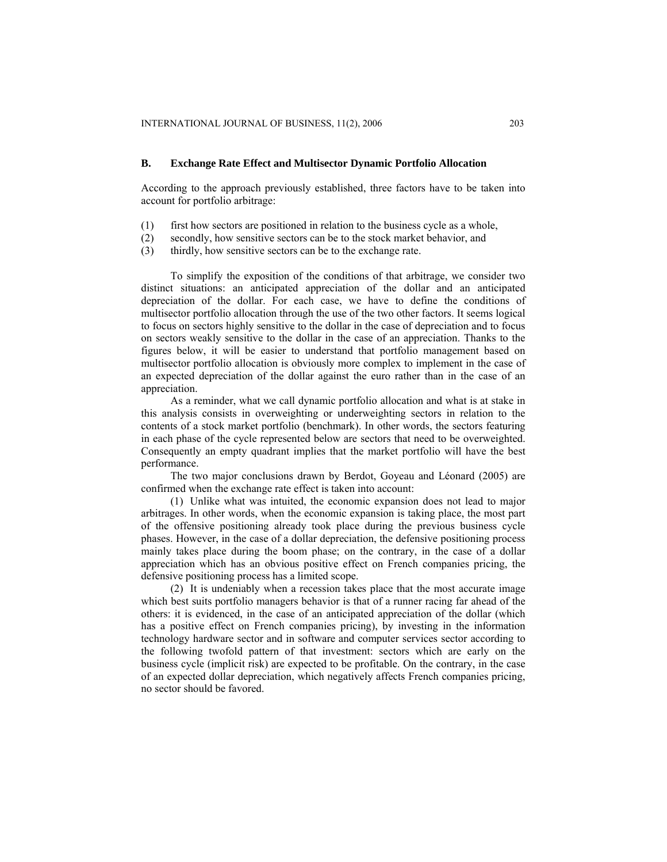## **B. Exchange Rate Effect and Multisector Dynamic Portfolio Allocation**

According to the approach previously established, three factors have to be taken into account for portfolio arbitrage:

- (1) first how sectors are positioned in relation to the business cycle as a whole,
- (2) secondly, how sensitive sectors can be to the stock market behavior, and
- (3) thirdly, how sensitive sectors can be to the exchange rate.

To simplify the exposition of the conditions of that arbitrage, we consider two distinct situations: an anticipated appreciation of the dollar and an anticipated depreciation of the dollar. For each case, we have to define the conditions of multisector portfolio allocation through the use of the two other factors. It seems logical to focus on sectors highly sensitive to the dollar in the case of depreciation and to focus on sectors weakly sensitive to the dollar in the case of an appreciation. Thanks to the figures below, it will be easier to understand that portfolio management based on multisector portfolio allocation is obviously more complex to implement in the case of an expected depreciation of the dollar against the euro rather than in the case of an appreciation.

As a reminder, what we call dynamic portfolio allocation and what is at stake in this analysis consists in overweighting or underweighting sectors in relation to the contents of a stock market portfolio (benchmark). In other words, the sectors featuring in each phase of the cycle represented below are sectors that need to be overweighted. Consequently an empty quadrant implies that the market portfolio will have the best performance.

The two major conclusions drawn by Berdot, Goyeau and Léonard (2005) are confirmed when the exchange rate effect is taken into account:

(1) Unlike what was intuited, the economic expansion does not lead to major arbitrages. In other words, when the economic expansion is taking place, the most part of the offensive positioning already took place during the previous business cycle phases. However, in the case of a dollar depreciation, the defensive positioning process mainly takes place during the boom phase; on the contrary, in the case of a dollar appreciation which has an obvious positive effect on French companies pricing, the defensive positioning process has a limited scope.

(2) It is undeniably when a recession takes place that the most accurate image which best suits portfolio managers behavior is that of a runner racing far ahead of the others: it is evidenced, in the case of an anticipated appreciation of the dollar (which has a positive effect on French companies pricing), by investing in the information technology hardware sector and in software and computer services sector according to the following twofold pattern of that investment: sectors which are early on the business cycle (implicit risk) are expected to be profitable. On the contrary, in the case of an expected dollar depreciation, which negatively affects French companies pricing, no sector should be favored.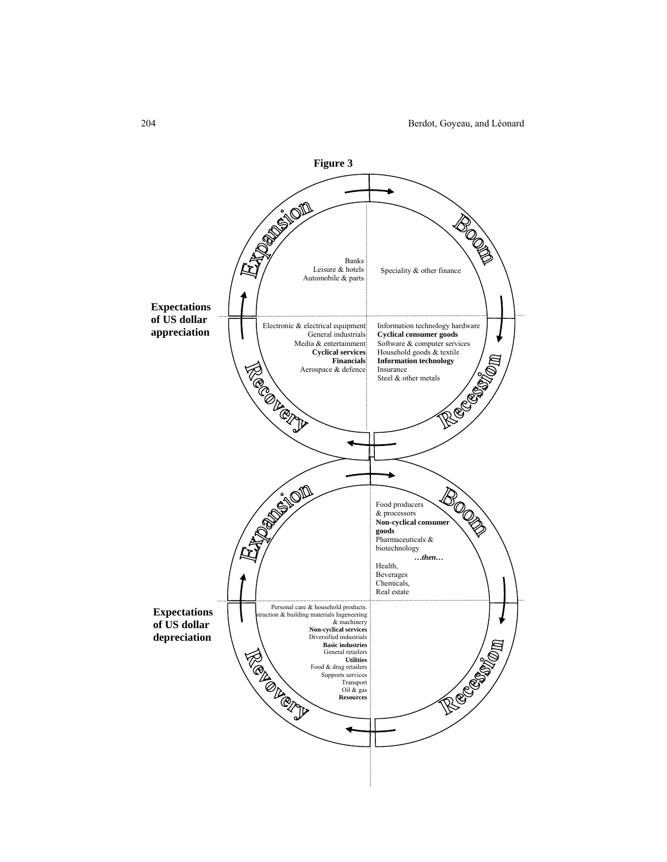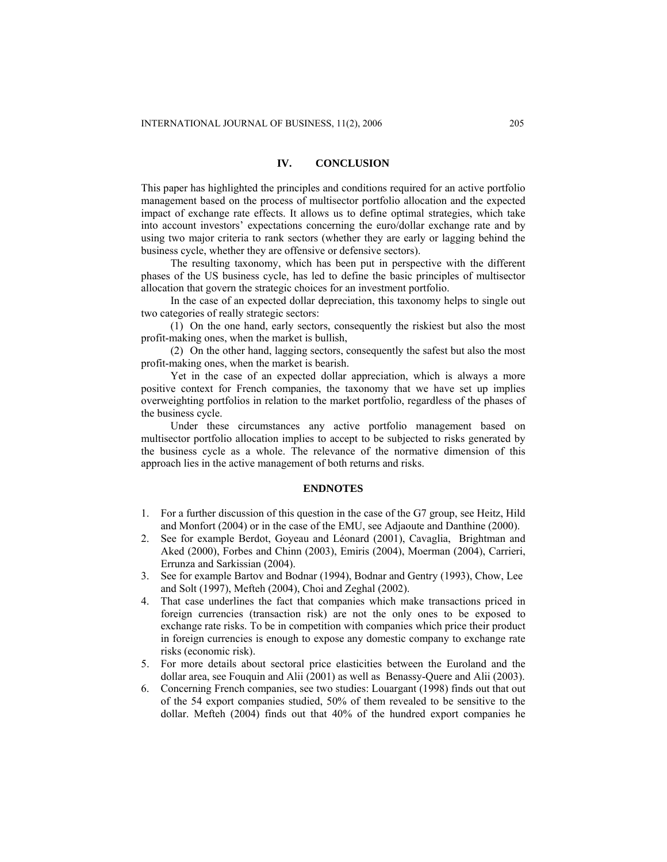## **IV. CONCLUSION**

This paper has highlighted the principles and conditions required for an active portfolio management based on the process of multisector portfolio allocation and the expected impact of exchange rate effects. It allows us to define optimal strategies, which take into account investors' expectations concerning the euro/dollar exchange rate and by using two major criteria to rank sectors (whether they are early or lagging behind the business cycle, whether they are offensive or defensive sectors).

The resulting taxonomy, which has been put in perspective with the different phases of the US business cycle, has led to define the basic principles of multisector allocation that govern the strategic choices for an investment portfolio.

In the case of an expected dollar depreciation, this taxonomy helps to single out two categories of really strategic sectors:

(1) On the one hand, early sectors, consequently the riskiest but also the most profit-making ones, when the market is bullish,

(2) On the other hand, lagging sectors, consequently the safest but also the most profit-making ones, when the market is bearish.

Yet in the case of an expected dollar appreciation, which is always a more positive context for French companies, the taxonomy that we have set up implies overweighting portfolios in relation to the market portfolio, regardless of the phases of the business cycle.

Under these circumstances any active portfolio management based on multisector portfolio allocation implies to accept to be subjected to risks generated by the business cycle as a whole. The relevance of the normative dimension of this approach lies in the active management of both returns and risks.

#### **ENDNOTES**

- 1. For a further discussion of this question in the case of the G7 group, see Heitz, Hild and Monfort (2004) or in the case of the EMU, see Adjaoute and Danthine (2000).
- 2. See for example Berdot, Goyeau and Léonard (2001), Cavaglia, Brightman and Aked (2000), Forbes and Chinn (2003), Emiris (2004), Moerman (2004), Carrieri, Errunza and Sarkissian (2004).
- 3. See for example Bartov and Bodnar (1994), Bodnar and Gentry (1993), Chow, Lee and Solt (1997), Mefteh (2004), Choi and Zeghal (2002).
- 4. That case underlines the fact that companies which make transactions priced in foreign currencies (transaction risk) are not the only ones to be exposed to exchange rate risks. To be in competition with companies which price their product in foreign currencies is enough to expose any domestic company to exchange rate risks (economic risk).
- 5. For more details about sectoral price elasticities between the Euroland and the dollar area, see Fouquin and Alii (2001) as well as Benassy-Quere and Alii (2003).
- 6. Concerning French companies, see two studies: Louargant (1998) finds out that out of the 54 export companies studied, 50% of them revealed to be sensitive to the dollar. Mefteh (2004) finds out that 40% of the hundred export companies he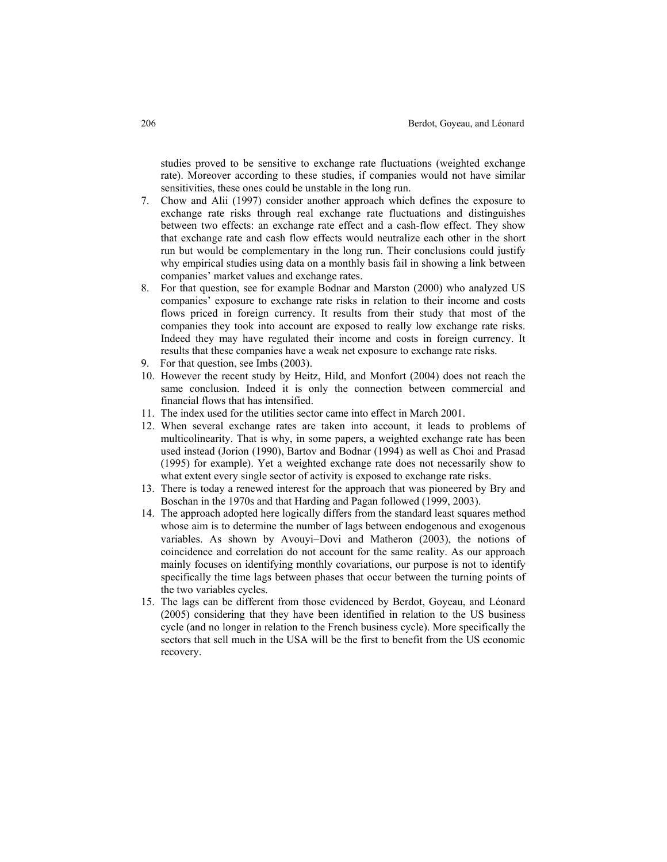studies proved to be sensitive to exchange rate fluctuations (weighted exchange rate). Moreover according to these studies, if companies would not have similar sensitivities, these ones could be unstable in the long run.

- 7. Chow and Alii (1997) consider another approach which defines the exposure to exchange rate risks through real exchange rate fluctuations and distinguishes between two effects: an exchange rate effect and a cash-flow effect. They show that exchange rate and cash flow effects would neutralize each other in the short run but would be complementary in the long run. Their conclusions could justify why empirical studies using data on a monthly basis fail in showing a link between companies' market values and exchange rates.
- 8. For that question, see for example Bodnar and Marston (2000) who analyzed US companies' exposure to exchange rate risks in relation to their income and costs flows priced in foreign currency. It results from their study that most of the companies they took into account are exposed to really low exchange rate risks. Indeed they may have regulated their income and costs in foreign currency. It results that these companies have a weak net exposure to exchange rate risks.
- 9. For that question, see Imbs (2003).
- 10. However the recent study by Heitz, Hild, and Monfort (2004) does not reach the same conclusion. Indeed it is only the connection between commercial and financial flows that has intensified.
- 11. The index used for the utilities sector came into effect in March 2001.
- 12. When several exchange rates are taken into account, it leads to problems of multicolinearity. That is why, in some papers, a weighted exchange rate has been used instead (Jorion (1990), Bartov and Bodnar (1994) as well as Choi and Prasad (1995) for example). Yet a weighted exchange rate does not necessarily show to what extent every single sector of activity is exposed to exchange rate risks.
- 13. There is today a renewed interest for the approach that was pioneered by Bry and Boschan in the 1970s and that Harding and Pagan followed (1999, 2003).
- 14. The approach adopted here logically differs from the standard least squares method whose aim is to determine the number of lags between endogenous and exogenous variables. As shown by Avouyi−Dovi and Matheron (2003), the notions of coincidence and correlation do not account for the same reality. As our approach mainly focuses on identifying monthly covariations, our purpose is not to identify specifically the time lags between phases that occur between the turning points of the two variables cycles.
- 15. The lags can be different from those evidenced by Berdot, Goyeau, and Léonard (2005) considering that they have been identified in relation to the US business cycle (and no longer in relation to the French business cycle). More specifically the sectors that sell much in the USA will be the first to benefit from the US economic recovery.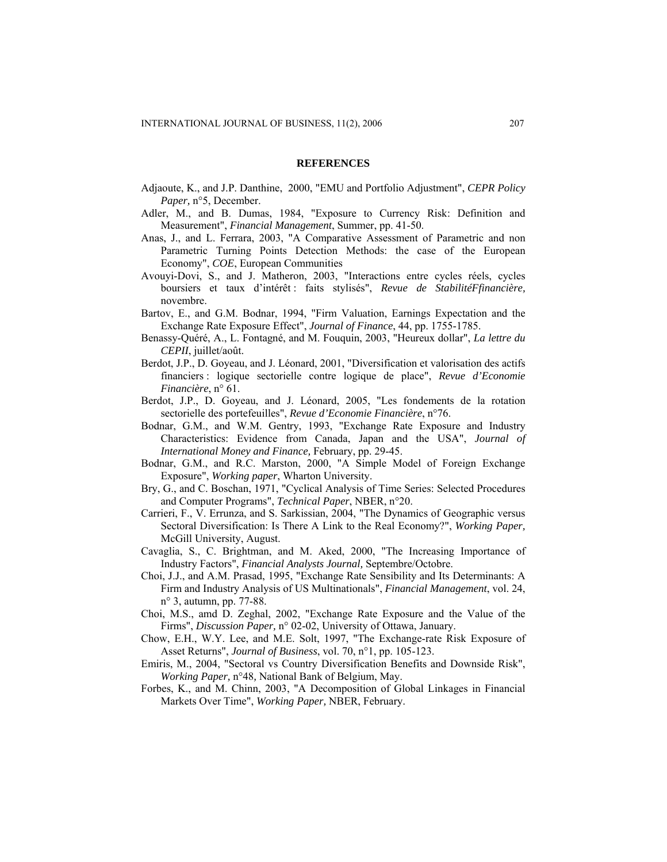#### **REFERENCES**

- Adjaoute, K., and J.P. Danthine, 2000, "EMU and Portfolio Adjustment", *CEPR Policy Paper,* n°5, December.
- Adler, M., and B. Dumas, 1984, "Exposure to Currency Risk: Definition and Measurement", *Financial Management*, Summer, pp. 41-50.
- Anas, J., and L. Ferrara, 2003, "A Comparative Assessment of Parametric and non Parametric Turning Points Detection Methods: the case of the European Economy", *COE*, European Communities
- Avouyi-Dovi, S., and J. Matheron, 2003, "Interactions entre cycles réels, cycles boursiers et taux d'intérêt : faits stylisés", *Revue de StabilitéFfinancière,*  novembre.
- Bartov, E., and G.M. Bodnar, 1994, "Firm Valuation, Earnings Expectation and the Exchange Rate Exposure Effect", *Journal of Finance*, 44, pp. 1755-1785.
- Benassy-Quéré, A., L. Fontagné, and M. Fouquin, 2003, "Heureux dollar", *La lettre du CEPII*, juillet/août.
- Berdot, J.P., D. Goyeau, and J. Léonard, 2001, "Diversification et valorisation des actifs financiers : logique sectorielle contre logique de place", *Revue d'Economie Financière*, n° 61.
- Berdot, J.P., D. Goyeau, and J. Léonard, 2005, "Les fondements de la rotation sectorielle des portefeuilles", *Revue d'Economie Financière*, n°76.
- Bodnar, G.M., and W.M. Gentry, 1993, "Exchange Rate Exposure and Industry Characteristics: Evidence from Canada, Japan and the USA", *Journal of International Money and Finance,* February, pp. 29-45.
- Bodnar, G.M., and R.C. Marston, 2000, "A Simple Model of Foreign Exchange Exposure", *Working paper*, Wharton University.
- Bry, G., and C. Boschan, 1971, "Cyclical Analysis of Time Series: Selected Procedures and Computer Programs", *Technical Paper*, NBER, n°20.
- Carrieri, F., V. Errunza, and S. Sarkissian, 2004, "The Dynamics of Geographic versus Sectoral Diversification: Is There A Link to the Real Economy?", *Working Paper,*  McGill University, August.
- Cavaglia, S., C. Brightman, and M. Aked, 2000, "The Increasing Importance of Industry Factors", *Financial Analysts Journal,* Septembre/Octobre.
- Choi, J.J., and A.M. Prasad, 1995, "Exchange Rate Sensibility and Its Determinants: A Firm and Industry Analysis of US Multinationals", *Financial Management*, vol. 24, n° 3, autumn, pp. 77-88.
- Choi, M.S., amd D. Zeghal, 2002, "Exchange Rate Exposure and the Value of the Firms", *Discussion Paper,* n° 02-02, University of Ottawa, January.
- Chow, E.H., W.Y. Lee, and M.E. Solt, 1997, "The Exchange-rate Risk Exposure of Asset Returns", *Journal of Business*, vol. 70, n°1, pp. 105-123.
- Emiris, M., 2004, "Sectoral vs Country Diversification Benefits and Downside Risk", *Working Paper,* n°48*,* National Bank of Belgium, May.
- Forbes, K., and M. Chinn, 2003, "A Decomposition of Global Linkages in Financial Markets Over Time", *Working Paper,* NBER, February.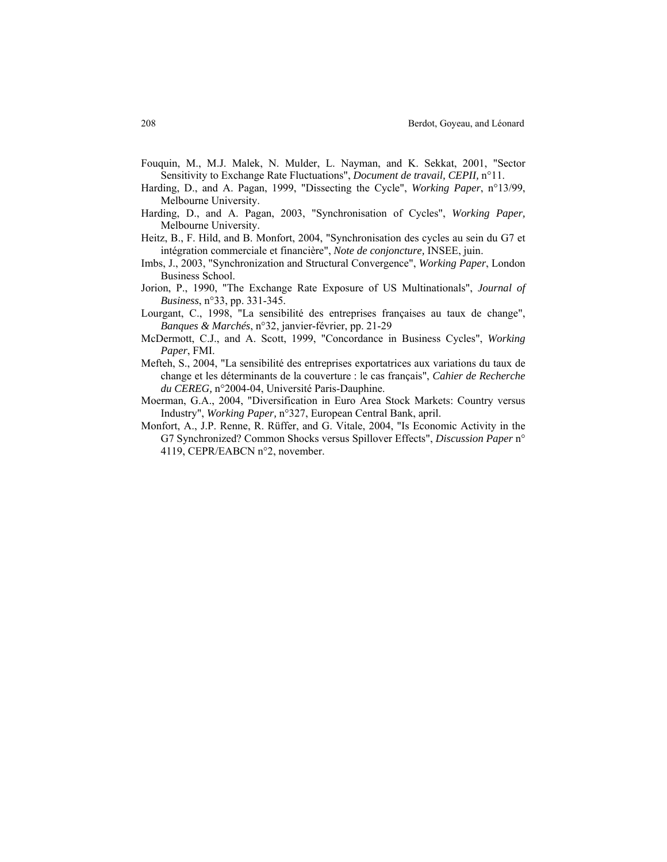- Fouquin, M., M.J. Malek, N. Mulder, L. Nayman, and K. Sekkat, 2001, "Sector Sensitivity to Exchange Rate Fluctuations", *Document de travail, CEPII,* n°11.
- Harding, D., and A. Pagan, 1999, "Dissecting the Cycle", *Working Paper*, n°13/99, Melbourne University.
- Harding, D., and A. Pagan, 2003, "Synchronisation of Cycles", *Working Paper,*  Melbourne University.
- Heitz, B., F. Hild, and B. Monfort, 2004, "Synchronisation des cycles au sein du G7 et intégration commerciale et financière", *Note de conjoncture,* INSEE, juin.
- Imbs, J., 2003, "Synchronization and Structural Convergence", *Working Paper*, London Business School.
- Jorion, P., 1990, "The Exchange Rate Exposure of US Multinationals", *Journal of Business*, n°33, pp. 331-345.
- Lourgant, C., 1998, "La sensibilité des entreprises françaises au taux de change", *Banques & Marchés*, n°32, janvier-février, pp. 21-29
- McDermott, C.J., and A. Scott, 1999, "Concordance in Business Cycles", *Working Paper*, FMI.
- Mefteh, S., 2004, "La sensibilité des entreprises exportatrices aux variations du taux de change et les déterminants de la couverture : le cas français", *Cahier de Recherche du CEREG,* n°2004-04, Université Paris-Dauphine.
- Moerman, G.A., 2004, "Diversification in Euro Area Stock Markets: Country versus Industry", *Working Paper,* n°327, European Central Bank, april.
- Monfort, A., J.P. Renne, R. Rüffer, and G. Vitale, 2004, "Is Economic Activity in the G7 Synchronized? Common Shocks versus Spillover Effects", *Discussion Paper* n° 4119, CEPR/EABCN n°2, november.